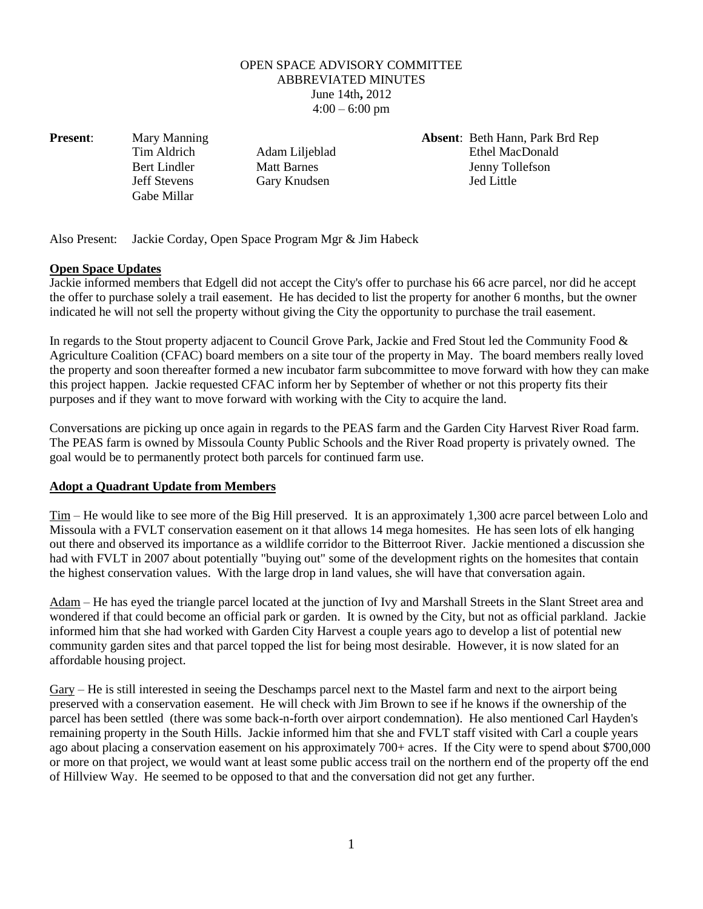## OPEN SPACE ADVISORY COMMITTEE ABBREVIATED MINUTES June 14th**,** 2012  $4:00 - 6:00$  pm

Gabe Millar

**Present**: Mary Manning **Absent**: Beth Hann, Park Brd Rep Tim Aldrich Adam Liljeblad Ethel MacDonald Bert Lindler Matt Barnes Jenny Tollefson Jeff Stevens Gary Knudsen Jed Little

Also Present: Jackie Corday, Open Space Program Mgr & Jim Habeck

## **Open Space Updates**

Jackie informed members that Edgell did not accept the City's offer to purchase his 66 acre parcel, nor did he accept the offer to purchase solely a trail easement. He has decided to list the property for another 6 months, but the owner indicated he will not sell the property without giving the City the opportunity to purchase the trail easement.

In regards to the Stout property adjacent to Council Grove Park, Jackie and Fred Stout led the Community Food & Agriculture Coalition (CFAC) board members on a site tour of the property in May. The board members really loved the property and soon thereafter formed a new incubator farm subcommittee to move forward with how they can make this project happen. Jackie requested CFAC inform her by September of whether or not this property fits their purposes and if they want to move forward with working with the City to acquire the land.

Conversations are picking up once again in regards to the PEAS farm and the Garden City Harvest River Road farm. The PEAS farm is owned by Missoula County Public Schools and the River Road property is privately owned. The goal would be to permanently protect both parcels for continued farm use.

## **Adopt a Quadrant Update from Members**

Tim – He would like to see more of the Big Hill preserved. It is an approximately 1,300 acre parcel between Lolo and Missoula with a FVLT conservation easement on it that allows 14 mega homesites. He has seen lots of elk hanging out there and observed its importance as a wildlife corridor to the Bitterroot River. Jackie mentioned a discussion she had with FVLT in 2007 about potentially "buying out" some of the development rights on the homesites that contain the highest conservation values. With the large drop in land values, she will have that conversation again.

Adam – He has eyed the triangle parcel located at the junction of Ivy and Marshall Streets in the Slant Street area and wondered if that could become an official park or garden. It is owned by the City, but not as official parkland. Jackie informed him that she had worked with Garden City Harvest a couple years ago to develop a list of potential new community garden sites and that parcel topped the list for being most desirable. However, it is now slated for an affordable housing project.

Gary – He is still interested in seeing the Deschamps parcel next to the Mastel farm and next to the airport being preserved with a conservation easement. He will check with Jim Brown to see if he knows if the ownership of the parcel has been settled (there was some back-n-forth over airport condemnation). He also mentioned Carl Hayden's remaining property in the South Hills. Jackie informed him that she and FVLT staff visited with Carl a couple years ago about placing a conservation easement on his approximately 700+ acres. If the City were to spend about \$700,000 or more on that project, we would want at least some public access trail on the northern end of the property off the end of Hillview Way. He seemed to be opposed to that and the conversation did not get any further.